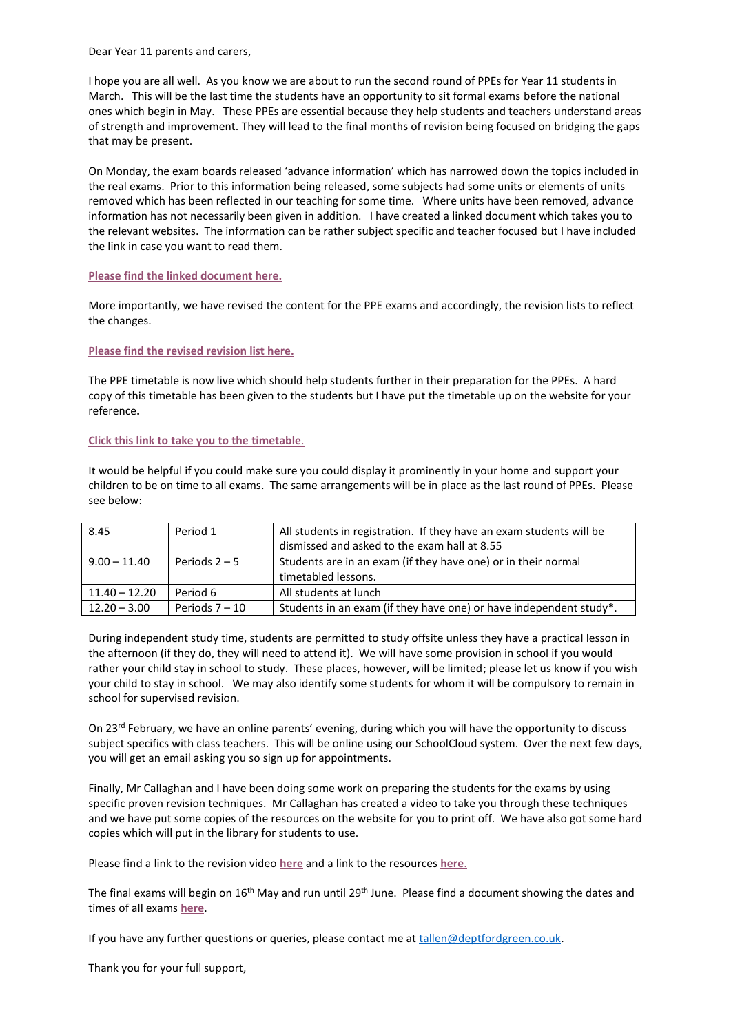Dear Year 11 parents and carers,

I hope you are all well. As you know we are about to run the second round of PPEs for Year 11 students in March. This will be the last time the students have an opportunity to sit formal exams before the national ones which begin in May. These PPEs are essential because they help students and teachers understand areas of strength and improvement. They will lead to the final months of revision being focused on bridging the gaps that may be present.

On Monday, the exam boards released 'advance information' which has narrowed down the topics included in the real exams. Prior to this information being released, some subjects had some units or elements of units removed which has been reflected in our teaching for some time. Where units have been removed, advance information has not necessarily been given in addition. I have created a linked document which takes you to the relevant websites. The information can be rather subject specific and teacher focused but I have included the link in case you want to read them.

## **[Please find the linked document here.](https://2094047-my.sharepoint.com/personal/gcourtney_deptfordgreen_co_uk/_layouts/15/onedrive.aspx?id=%2Fpersonal%2Fgcourtney%5Fdeptfordgreen%5Fco%5Fuk%2FDocuments%2FSUMMARY%20OF%20ADVANCE%20INFORMATION%20AND%20CHANGES%20FOR%202022%20%2D%20Parents%2Epdf&parent=%2Fpersonal%2Fgcourtney%5Fdeptfordgreen%5Fco%5Fuk%2FDocuments)**

More importantly, we have revised the content for the PPE exams and accordingly, the revision lists to reflect the changes.

**[Please find the revised revision list here.](https://www.deptfordgreen.lewisham.sch.uk/_site/data/files/FD0FF56120B754A15A1BFCED8E956477.pdf?pid=10)**

The PPE timetable is now live which should help students further in their preparation for the PPEs. A hard copy of this timetable has been given to the students but I have put the timetable up on the website for your reference**.** 

## **Click [this link to take you to the](https://www.deptfordgreen.lewisham.sch.uk/_site/data/files/3AD373AF44DC94C34E2B42361175C9CB.pdf?pid=10) timetable**.

It would be helpful if you could make sure you could display it prominently in your home and support your children to be on time to all exams. The same arrangements will be in place as the last round of PPEs. Please see below:

| 8.45            | Period 1         | All students in registration. If they have an exam students will be<br>dismissed and asked to the exam hall at 8.55 |
|-----------------|------------------|---------------------------------------------------------------------------------------------------------------------|
| $9.00 - 11.40$  | Periods $2-5$    | Students are in an exam (if they have one) or in their normal<br>timetabled lessons.                                |
| $11.40 - 12.20$ | Period 6         | All students at lunch                                                                                               |
| $12.20 - 3.00$  | Periods $7 - 10$ | Students in an exam (if they have one) or have independent study*.                                                  |

During independent study time, students are permitted to study offsite unless they have a practical lesson in the afternoon (if they do, they will need to attend it). We will have some provision in school if you would rather your child stay in school to study. These places, however, will be limited; please let us know if you wish your child to stay in school. We may also identify some students for whom it will be compulsory to remain in school for supervised revision.

On 23<sup>rd</sup> February, we have an online parents' evening, during which you will have the opportunity to discuss subject specifics with class teachers. This will be online using our SchoolCloud system. Over the next few days, you will get an email asking you so sign up for appointments.

Finally, Mr Callaghan and I have been doing some work on preparing the students for the exams by using specific proven revision techniques. Mr Callaghan has created a video to take you through these techniques and we have put some copies of the resources on the website for you to print off. We have also got some hard copies which will put in the library for students to use.

Please find a link to the revision video **[here](https://www.youtube.com/watch?v=V_HnMBQHQIY)** and a link to the resources **[here](https://www.deptfordgreen.lewisham.sch.uk/page/?title=Revision+Walkthroughs&pid=110)**.

The final exams will begin on 16<sup>th</sup> May and run until 29<sup>th</sup> June. Please find a document showing the dates and times of all exams **[here](https://2094047-my.sharepoint.com/personal/gcourtney_deptfordgreen_co_uk/_layouts/15/onedrive.aspx?id=%2Fpersonal%2Fgcourtney%5Fdeptfordgreen%5Fco%5Fuk%2FDocuments%2FReal%20Exam%20Timetable%202022%2Epdf&parent=%2Fpersonal%2Fgcourtney%5Fdeptfordgreen%5Fco%5Fuk%2FDocuments)**.

If you have any further questions or queries, please contact me a[t tallen@deptfordgreen.co.uk.](mailto:tallen@deptfordgreen.co.uk)

Thank you for your full support,